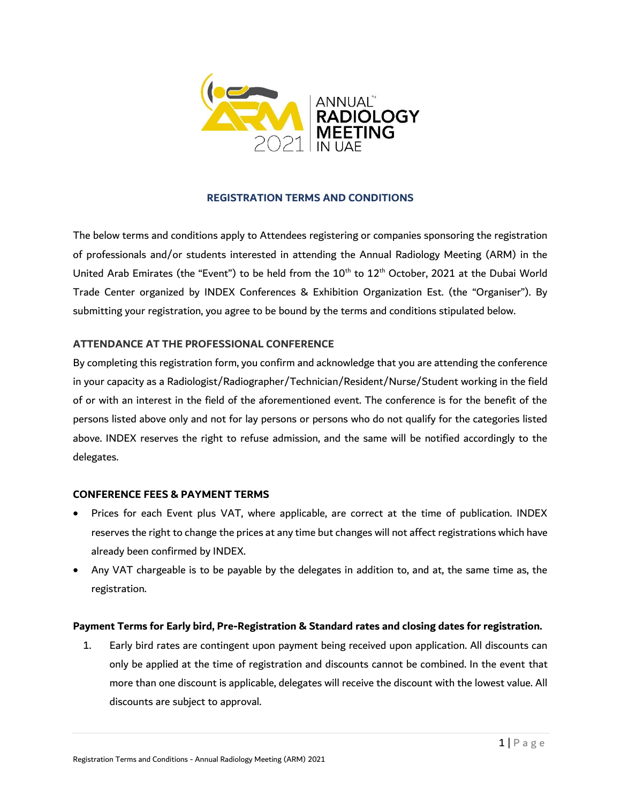

# **REGISTRATION TERMS AND CONDITIONS**

The below terms and conditions apply to Attendees registering or companies sponsoring the registration of professionals and/or students interested in attending the Annual Radiology Meeting (ARM) in the United Arab Emirates (the "Event") to be held from the 10<sup>th</sup> to 12<sup>th</sup> October, 2021 at the Dubai World Trade Center organized by INDEX Conferences & Exhibition Organization Est. (the "Organiser"). By submitting your registration, you agree to be bound by the terms and conditions stipulated below.

## **ATTENDANCE AT THE PROFESSIONAL CONFERENCE**

By completing this registration form, you confirm and acknowledge that you are attending the conference in your capacity as a Radiologist/Radiographer/Technician/Resident/Nurse/Student working in the field of or with an interest in the field of the aforementioned event. The conference is for the benefit of the persons listed above only and not for lay persons or persons who do not qualify for the categories listed above. INDEX reserves the right to refuse admission, and the same will be notified accordingly to the delegates.

## **CONFERENCE FEES & PAYMENT TERMS**

- Prices for each Event plus VAT, where applicable, are correct at the time of publication. INDEX reserves the right to change the prices at any time but changes will not affect registrations which have already been confirmed by INDEX.
- Any VAT chargeable is to be payable by the delegates in addition to, and at, the same time as, the registration.

## **Payment Terms for Early bird, Pre-Registration & Standard rates and closing dates for registration.**

1. Early bird rates are contingent upon payment being received upon application. All discounts can only be applied at the time of registration and discounts cannot be combined. In the event that more than one discount is applicable, delegates will receive the discount with the lowest value. All discounts are subject to approval.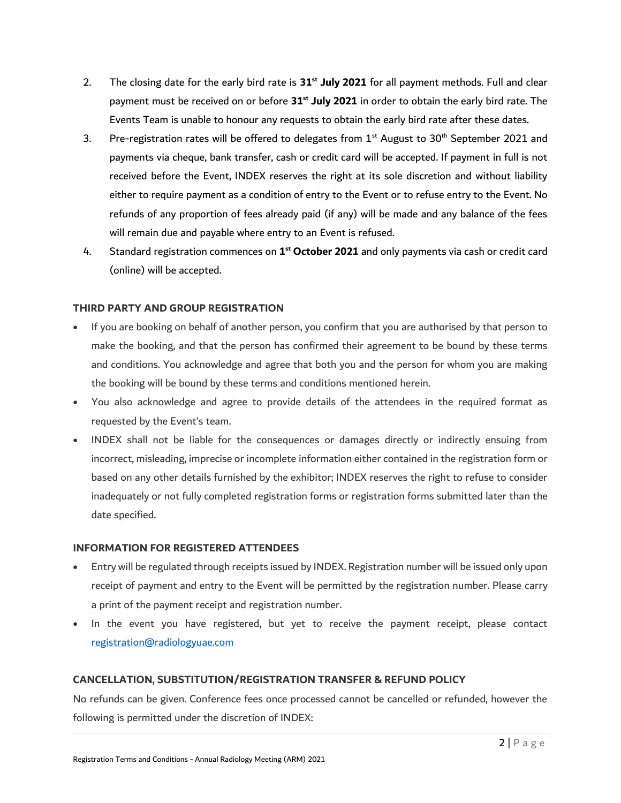- 2. The closing date for the early bird rate is **31st July 2021** for all payment methods. Full and clear payment must be received on or before **31st July 2021** in order to obtain the early bird rate. The Events Team is unable to honour any requests to obtain the early bird rate after these dates.
- 3. Pre-registration rates will be offered to delegates from  $1<sup>st</sup>$  August to 30<sup>th</sup> September 2021 and payments via cheque, bank transfer, cash or credit card will be accepted. If payment in full is not received before the Event, INDEX reserves the right at its sole discretion and without liability either to require payment as a condition of entry to the Event or to refuse entry to the Event. No refunds of any proportion of fees already paid (if any) will be made and any balance of the fees will remain due and payable where entry to an Event is refused.
- 4. Standard registration commences on **1 st October 2021** and only payments via cash or credit card (online) will be accepted.

### **THIRD PARTY AND GROUP REGISTRATION**

- If you are booking on behalf of another person, you confirm that you are authorised by that person to make the booking, and that the person has confirmed their agreement to be bound by these terms and conditions. You acknowledge and agree that both you and the person for whom you are making the booking will be bound by these terms and conditions mentioned herein.
- You also acknowledge and agree to provide details of the attendees in the required format as requested by the Event's team.
- INDEX shall not be liable for the consequences or damages directly or indirectly ensuing from incorrect, misleading, imprecise or incomplete information either contained in the registration form or based on any other details furnished by the exhibitor; INDEX reserves the right to refuse to consider inadequately or not fully completed registration forms or registration forms submitted later than the date specified.

## **INFORMATION FOR REGISTERED ATTENDEES**

- Entry will be regulated through receipts issued by INDEX. Registration number will be issued only upon receipt of payment and entry to the Event will be permitted by the registration number. Please carry a print of the payment receipt and registration number.
- In the event you have registered, but yet to receive the payment receipt, please contact [registration@radiologyuae.com](mailto:registration@radiologyuae.com)

## **CANCELLATION, SUBSTITUTION/REGISTRATION TRANSFER & REFUND POLICY**

No refunds can be given. Conference fees once processed cannot be cancelled or refunded, however the following is permitted under the discretion of INDEX: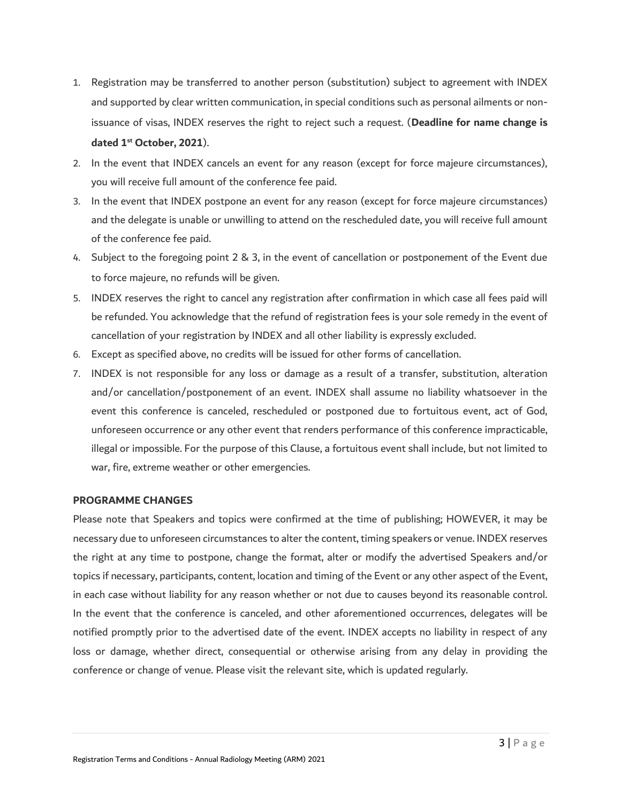- 1. Registration may be transferred to another person (substitution) subject to agreement with INDEX and supported by clear written communication, in special conditions such as personal ailments or nonissuance of visas, INDEX reserves the right to reject such a request. (**Deadline for name change is dated 1st October, 2021**).
- 2. In the event that INDEX cancels an event for any reason (except for force majeure circumstances), you will receive full amount of the conference fee paid.
- 3. In the event that INDEX postpone an event for any reason (except for force majeure circumstances) and the delegate is unable or unwilling to attend on the rescheduled date, you will receive full amount of the conference fee paid.
- 4. Subject to the foregoing point 2 & 3, in the event of cancellation or postponement of the Event due to force majeure, no refunds will be given.
- 5. INDEX reserves the right to cancel any registration after confirmation in which case all fees paid will be refunded. You acknowledge that the refund of registration fees is your sole remedy in the event of cancellation of your registration by INDEX and all other liability is expressly excluded.
- 6. Except as specified above, no credits will be issued for other forms of cancellation.
- 7. INDEX is not responsible for any loss or damage as a result of a transfer, substitution, alteration and/or cancellation/postponement of an event. INDEX shall assume no liability whatsoever in the event this conference is canceled, rescheduled or postponed due to fortuitous event, act of God, unforeseen occurrence or any other event that renders performance of this conference impracticable, illegal or impossible. For the purpose of this Clause, a fortuitous event shall include, but not limited to war, fire, extreme weather or other emergencies.

#### **PROGRAMME CHANGES**

Please note that Speakers and topics were confirmed at the time of publishing; HOWEVER, it may be necessary due to unforeseen circumstances to alter the content, timing speakers or venue. INDEX reserves the right at any time to postpone, change the format, alter or modify the advertised Speakers and/or topics if necessary, participants, content, location and timing of the Event or any other aspect of the Event, in each case without liability for any reason whether or not due to causes beyond its reasonable control. In the event that the conference is canceled, and other aforementioned occurrences, delegates will be notified promptly prior to the advertised date of the event. INDEX accepts no liability in respect of any loss or damage, whether direct, consequential or otherwise arising from any delay in providing the conference or change of venue. Please visit the relevant site, which is updated regularly.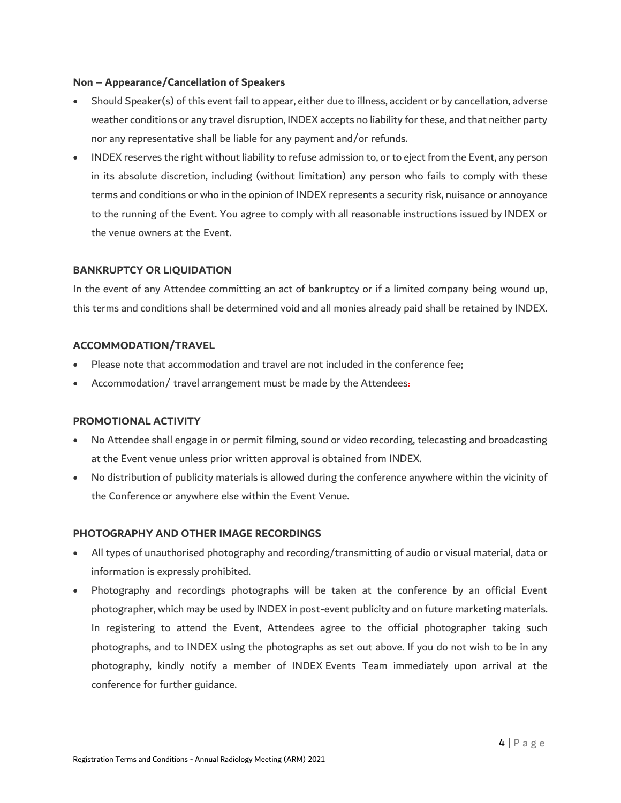### **Non – Appearance/Cancellation of Speakers**

- Should Speaker(s) of this event fail to appear, either due to illness, accident or by cancellation, adverse weather conditions or any travel disruption, INDEX accepts no liability for these, and that neither party nor any representative shall be liable for any payment and/or refunds.
- INDEX reserves the right without liability to refuse admission to, or to eject from the Event, any person in its absolute discretion, including (without limitation) any person who fails to comply with these terms and conditions or who in the opinion of INDEX represents a security risk, nuisance or annoyance to the running of the Event. You agree to comply with all reasonable instructions issued by INDEX or the venue owners at the Event.

## **BANKRUPTCY OR LIQUIDATION**

In the event of any Attendee committing an act of bankruptcy or if a limited company being wound up, this terms and conditions shall be determined void and all monies already paid shall be retained by INDEX.

### **ACCOMMODATION/TRAVEL**

- Please note that accommodation and travel are not included in the conference fee;
- Accommodation/ travel arrangement must be made by the Attendees.

#### **PROMOTIONAL ACTIVITY**

- No Attendee shall engage in or permit filming, sound or video recording, telecasting and broadcasting at the Event venue unless prior written approval is obtained from INDEX.
- No distribution of publicity materials is allowed during the conference anywhere within the vicinity of the Conference or anywhere else within the Event Venue.

#### **PHOTOGRAPHY AND OTHER IMAGE RECORDINGS**

- All types of unauthorised photography and recording/transmitting of audio or visual material, data or information is expressly prohibited.
- Photography and recordings photographs will be taken at the conference by an official Event photographer, which may be used by INDEX in post-event publicity and on future marketing materials. In registering to attend the Event, Attendees agree to the official photographer taking such photographs, and to INDEX using the photographs as set out above. If you do not wish to be in any photography, kindly notify a member of INDEX Events Team immediately upon arrival at the conference for further guidance.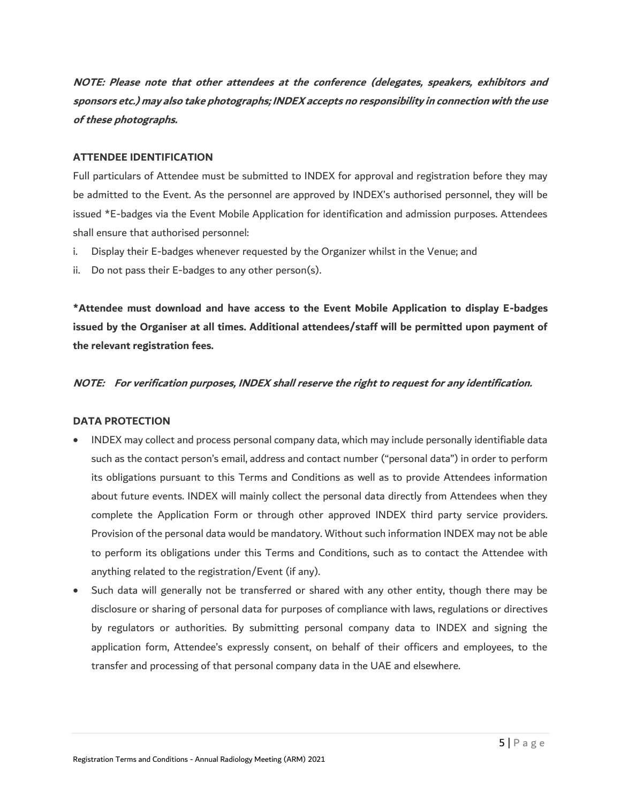**NOTE: Please note that other attendees at the conference (delegates, speakers, exhibitors and sponsors etc.) may also take photographs; INDEX accepts no responsibility in connection with the use of these photographs.**

### **ATTENDEE IDENTIFICATION**

Full particulars of Attendee must be submitted to INDEX for approval and registration before they may be admitted to the Event. As the personnel are approved by INDEX's authorised personnel, they will be issued \*E-badges via the Event Mobile Application for identification and admission purposes. Attendees shall ensure that authorised personnel:

- i. Display their E-badges whenever requested by the Organizer whilst in the Venue; and
- ii. Do not pass their E-badges to any other person(s).

**\*Attendee must download and have access to the Event Mobile Application to display E-badges issued by the Organiser at all times. Additional attendees/staff will be permitted upon payment of the relevant registration fees.**

#### **NOTE: For verification purposes, INDEX shall reserve the right to request for any identification.**

#### **DATA PROTECTION**

- INDEX may collect and process personal company data, which may include personally identifiable data such as the contact person's email, address and contact number ("personal data") in order to perform its obligations pursuant to this Terms and Conditions as well as to provide Attendees information about future events. INDEX will mainly collect the personal data directly from Attendees when they complete the Application Form or through other approved INDEX third party service providers. Provision of the personal data would be mandatory. Without such information INDEX may not be able to perform its obligations under this Terms and Conditions, such as to contact the Attendee with anything related to the registration/Event (if any).
- Such data will generally not be transferred or shared with any other entity, though there may be disclosure or sharing of personal data for purposes of compliance with laws, regulations or directives by regulators or authorities. By submitting personal company data to INDEX and signing the application form, Attendee's expressly consent, on behalf of their officers and employees, to the transfer and processing of that personal company data in the UAE and elsewhere.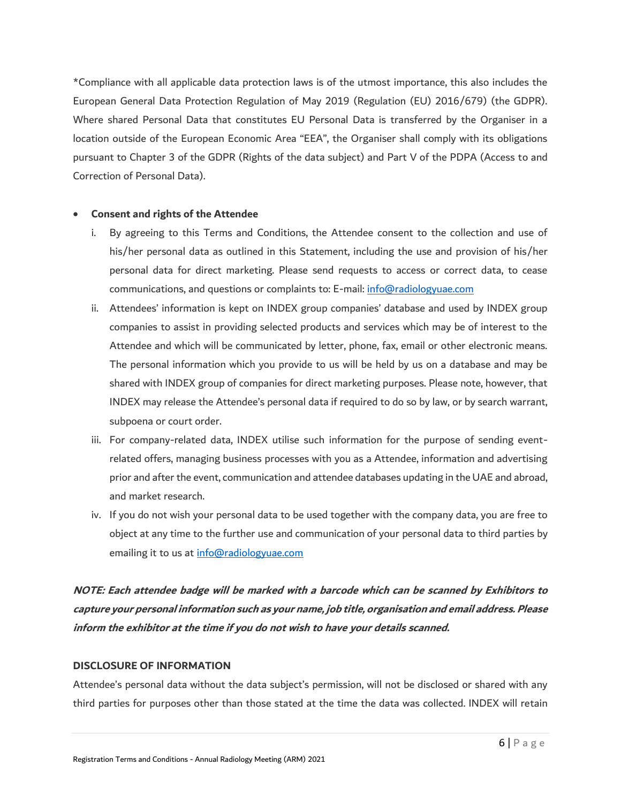\*Compliance with all applicable data protection laws is of the utmost importance, this also includes the European General Data Protection Regulation of May 2019 (Regulation (EU) 2016/679) (the GDPR). Where shared Personal Data that constitutes EU Personal Data is transferred by the Organiser in a location outside of the European Economic Area "EEA", the Organiser shall comply with its obligations pursuant to Chapter 3 of the GDPR (Rights of the data subject) and Part V of the PDPA (Access to and Correction of Personal Data).

#### • **Consent and rights of the Attendee**

- i. By agreeing to this Terms and Conditions, the Attendee consent to the collection and use of his/her personal data as outlined in this Statement, including the use and provision of his/her personal data for direct marketing. Please send requests to access or correct data, to cease communications, and questions or complaints to: E-mail: [info@radiologyuae.com](mailto:info@radiologyuae.com)
- ii. Attendees' information is kept on INDEX group companies' database and used by INDEX group companies to assist in providing selected products and services which may be of interest to the Attendee and which will be communicated by letter, phone, fax, email or other electronic means. The personal information which you provide to us will be held by us on a database and may be shared with INDEX group of companies for direct marketing purposes. Please note, however, that INDEX may release the Attendee's personal data if required to do so by law, or by search warrant, subpoena or court order.
- iii. For company-related data, INDEX utilise such information for the purpose of sending eventrelated offers, managing business processes with you as a Attendee, information and advertising prior and after the event, communication and attendee databases updating in the UAE and abroad, and market research.
- iv. If you do not wish your personal data to be used together with the company data, you are free to object at any time to the further use and communication of your personal data to third parties by emailing it to us at [info@radiologyuae.com](mailto:info@radiologyuae.com)

**NOTE: Each attendee badge will be marked with a barcode which can be scanned by Exhibitors to capture your personal information such as your name, job title, organisation and email address. Please inform the exhibitor at the time if you do not wish to have your details scanned.**

### **DISCLOSURE OF INFORMATION**

Attendee's personal data without the data subject's permission, will not be disclosed or shared with any third parties for purposes other than those stated at the time the data was collected. INDEX will retain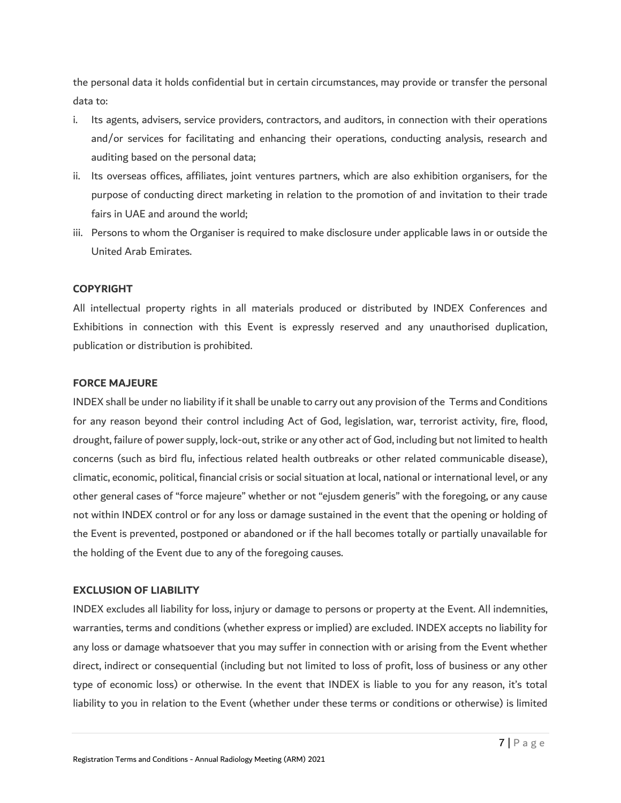the personal data it holds confidential but in certain circumstances, may provide or transfer the personal data to:

- i. Its agents, advisers, service providers, contractors, and auditors, in connection with their operations and/or services for facilitating and enhancing their operations, conducting analysis, research and auditing based on the personal data;
- ii. Its overseas offices, affiliates, joint ventures partners, which are also exhibition organisers, for the purpose of conducting direct marketing in relation to the promotion of and invitation to their trade fairs in UAE and around the world;
- iii. Persons to whom the Organiser is required to make disclosure under applicable laws in or outside the United Arab Emirates.

#### **COPYRIGHT**

All intellectual property rights in all materials produced or distributed by INDEX Conferences and Exhibitions in connection with this Event is expressly reserved and any unauthorised duplication, publication or distribution is prohibited.

#### **FORCE MAJEURE**

INDEX shall be under no liability if it shall be unable to carry out any provision of the Terms and Conditions for any reason beyond their control including Act of God, legislation, war, terrorist activity, fire, flood, drought, failure of power supply, lock-out, strike or any other act of God, including but not limited to health concerns (such as bird flu, infectious related health outbreaks or other related communicable disease), climatic, economic, political, financial crisis or social situation at local, national or international level, or any other general cases of "force majeure" whether or not "ejusdem generis" with the foregoing, or any cause not within INDEX control or for any loss or damage sustained in the event that the opening or holding of the Event is prevented, postponed or abandoned or if the hall becomes totally or partially unavailable for the holding of the Event due to any of the foregoing causes.

#### **EXCLUSION OF LIABILITY**

INDEX excludes all liability for loss, injury or damage to persons or property at the Event. All indemnities, warranties, terms and conditions (whether express or implied) are excluded. INDEX accepts no liability for any loss or damage whatsoever that you may suffer in connection with or arising from the Event whether direct, indirect or consequential (including but not limited to loss of profit, loss of business or any other type of economic loss) or otherwise. In the event that INDEX is liable to you for any reason, it's total liability to you in relation to the Event (whether under these terms or conditions or otherwise) is limited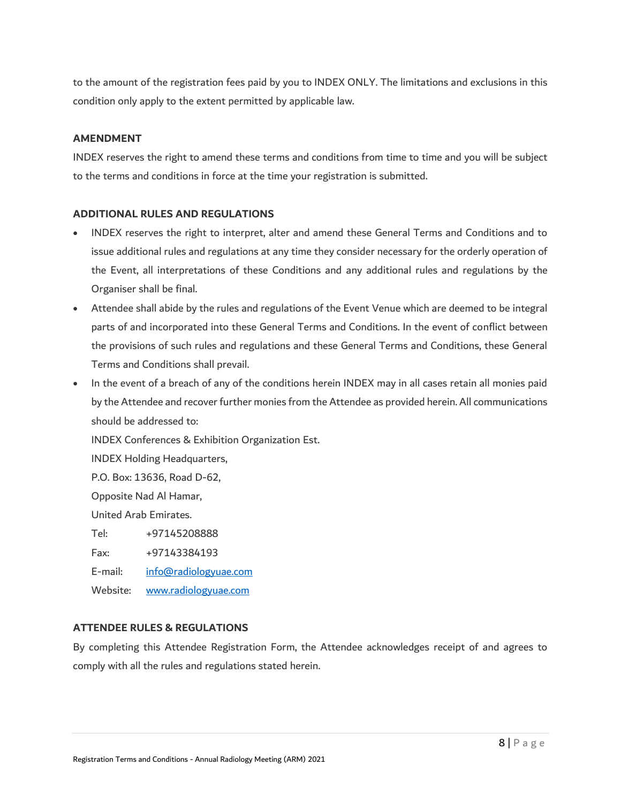to the amount of the registration fees paid by you to INDEX ONLY. The limitations and exclusions in this condition only apply to the extent permitted by applicable law.

### **AMENDMENT**

INDEX reserves the right to amend these terms and conditions from time to time and you will be subject to the terms and conditions in force at the time your registration is submitted.

### **ADDITIONAL RULES AND REGULATIONS**

- INDEX reserves the right to interpret, alter and amend these General Terms and Conditions and to issue additional rules and regulations at any time they consider necessary for the orderly operation of the Event, all interpretations of these Conditions and any additional rules and regulations by the Organiser shall be final.
- Attendee shall abide by the rules and regulations of the Event Venue which are deemed to be integral parts of and incorporated into these General Terms and Conditions. In the event of conflict between the provisions of such rules and regulations and these General Terms and Conditions, these General Terms and Conditions shall prevail.
- In the event of a breach of any of the conditions herein INDEX may in all cases retain all monies paid by the Attendee and recover further monies from the Attendee as provided herein. All communications should be addressed to:

INDEX Conferences & Exhibition Organization Est.

INDEX Holding Headquarters,

P.O. Box: 13636, Road D-62,

Opposite Nad Al Hamar,

United Arab Emirates.

Tel: +97145208888

Fax: +97143384193

E-mail: [info@radiologyuae.com](mailto:info@radiologyuae.com)

Website: [www.radiologyuae.com](http://www.radiologyuae.com/)

# **ATTENDEE RULES & REGULATIONS**

By completing this Attendee Registration Form, the Attendee acknowledges receipt of and agrees to comply with all the rules and regulations stated herein.